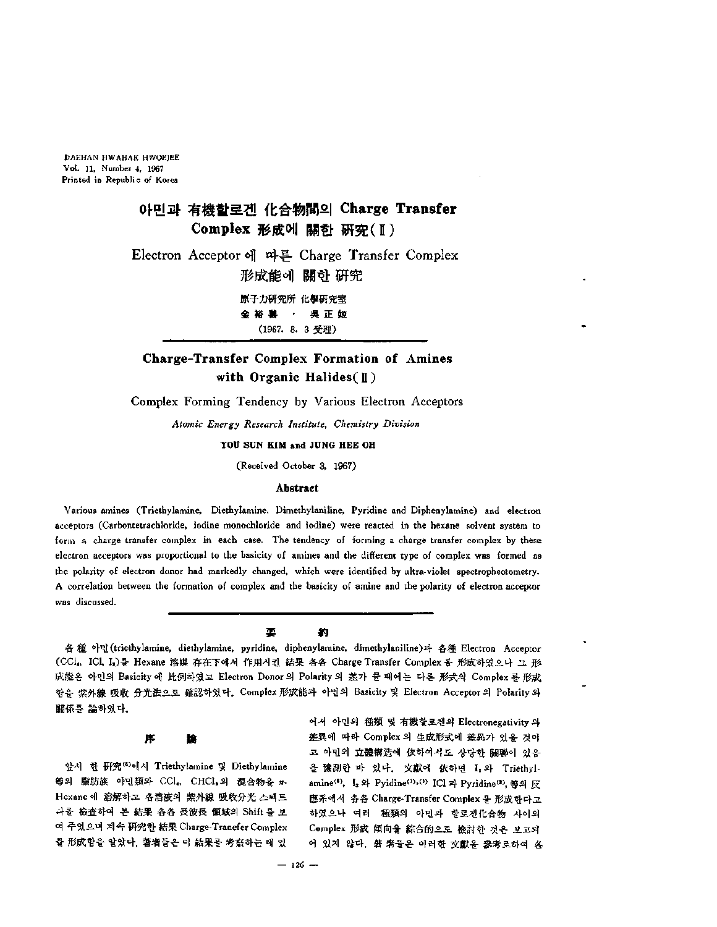DAEHAN HWAHAK HWOEJEE Vol. 11, Number 4, 1967 Printed in Republic of Korea

# 아민과 有機할로겐 化合物間의 **Charge Transfer Complex** 形成에 關한 硏究 (H) Electron Acceptor 따른 Charge Transfer Complex 形成能에 關한 硏究 原子力研究所 化學研究室 金裕 善 · 吳正姬 (1967. 8.3受理)

## **Charge-Transfer Complex Formation of Amines with Organic Halides( <sup>K</sup> )**

Complex Forming Tendency by Various Electron Acceptors

*Atomic Energy Research Institute, Chemistry Division*

**YOU SUN KIM and JUNG HEE OH**

(Received October 3, 1967)

### **Abstract**

Various amines (Triethylamine, Diethylamine, Dimethylaniline, Pyridine and Diphenylamine) and electron acceptors (Carbontetrachloride, iodine monochloride and iodine) were reacted in the hexane solvent system to form a charge transfer complex in each case. The tendency of forming a charge transfer complex by these electron acceptors was proportional to the basicity of amines and the different type of complex was formed as the polarity of electron donor had markedly changed, which were identified by ultra-violet spectropheotometry. A correlation between the formation of complex and the basicity of amine and the polarity of electron acceptor was discussed.

#### Ф 約

아민 (triethylamine, diethylamine, pyridine, diphenylamine, dimethylaniline) 各種 Electron Acceptor (CCl, ICl, I,)를 Hexane 溶媒 存在下에서 作用시킨 結果 各各 Charge Transfer Complex 를 形成하였으나 그 形 成能은 아민의 Basicity 에 比例하였고 Electron Donor 의 Polarity 의 差가 클 때에는 다른 形式의 Complex 를 形成 합을 紫外線 吸收 分光法으로 確認하였다. Complex 形成能과 아민의 Basicity 및 Electron Acceptor의 Polarity 의 關係를 論하였다.

#### 序 îê

앞서 한 硏究(8)에서 Triethylamine 및 Diethylamine 等의 脂肪族 아민類와 CCl, CHCl, 의 混合物을 m-Hexane 에 溶解하고 各溶液의 紫外線 吸收分光 스펙트 나를 檢査하여 본 結果 各各 長波長 領域의 Shift 를 보 여 주었으며 계속 硏究한 結果 Charge-Tranefer Complex 물 形成함을 알았다. 奢者들은 이 結果를 考察하는 때 있

어서 아민의 種類 및 有機할로겐의 Electronegativity 의 差異에 따라 Complex 의 生成形式에 差異가 있을 것이 고 아민의 立體構造에 依하여서도 상당한 關聯이 있음 을 豫測한 바 있다. 文獻에 依하면 I, 와 Triethylamine<sup>(6)</sup>,  $I_2$   $\Omega$  Pyidine<sup>(1)</sup>,<sup>(2)</sup> ICl <sup>22</sup> Pyridine<sup>(2)</sup>, 等의 反 應系에서 各各 Charge-Transfer Complex 를 形成한다고 하였으나 여러 種類의 아민과 할로겐化合物 사이의 Complex 形成 傾向을 綜合的으로 檢討한 것은 보고되 어 있지 않다. 著 者들은 이러한 文獻을 參考로하여 各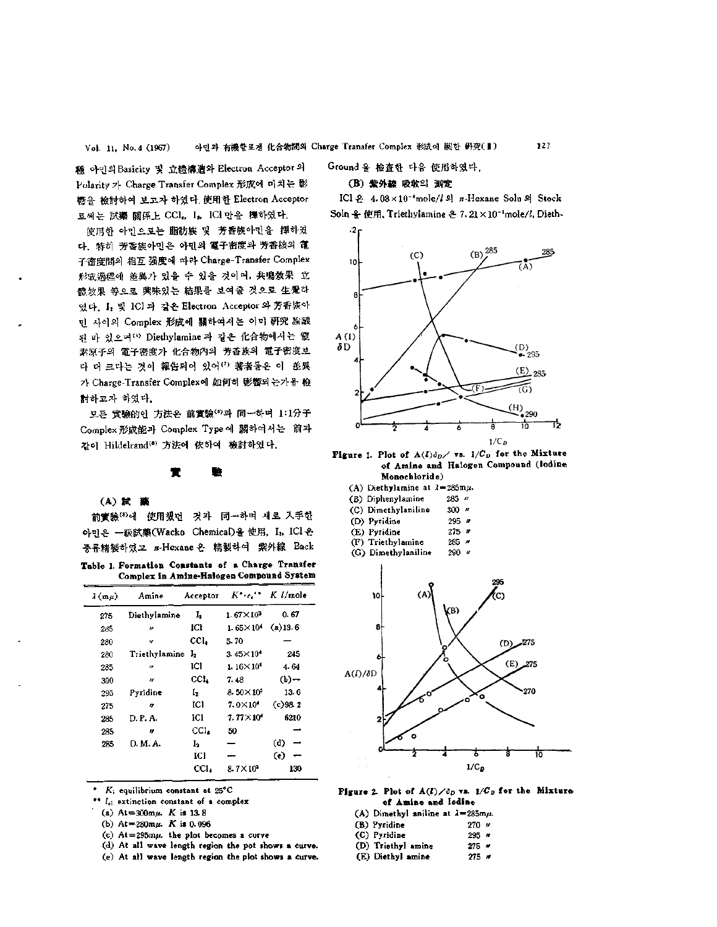種 아민의 Basicity 및 立體構造와 Electron Acceptor 의 Polarity 가 Charge Transfer Complex 形成에 미치는 影 轡을 檢討하여 보고자 하였다. 使用한 Electron Acceptor 로써는 試藥 關係上 CCl, I, ICl 만을 擇하였다.

使用한 아민으로는 脂肪族 및 芳香族아민을 擇하였 다, 特히 芳香族아민은 아민의 電子密度와 芳香核의 電 子密度間의 相互 强度에 따라 Charge-Transfer Complex 形成過程에 差異가 있을 수 있을 것이며, 共鳴效果 立 體效果 等으로 興味있는 結果를 보여줄 것으로 生覺하 였다. I, 및 ICl과 같은 Electron Acceptor 와 芳香族아 민 사이의 Complex 形成에 關하여서는 이미 硏究 論議 뒤 바 있으며 " Diethylamine 과 같은 化合物에서는 窒 素原子의 電子密度가 化合物內의 芳香族의 電子密度보 다 더 크다는 것이 報告되어 있어(?) 著者들은 이 登異 가 Charge-Transfer Complex에 如何히 影響되는가를 檢 討하고자 하였다.

모든 實驗的인 方法은 前實驗(6)과 同一하며 1:1分子 Complex 形成能과 Complex Type 關하여 前과 같이 Hildelrand(8) 方法에 依하여 檢討하였다.

#### \* æ

### **(A)**

前實驗(8)에 使用했던 것과 同一하며 새로 入手한 아민은 一級試藥(Wacko Chemical)을 使用, I, ICl 은 층류精製하였고 n-Hexane 은 精製하여 紫外線 Back

|  | Table 1. Formation Constants of a Charge Transfer |  |  |
|--|---------------------------------------------------|--|--|
|  | Complex in Amine-Halogen Compound System          |  |  |

| $\lambda$ (m $\mu$ ) | Amine         | Acceptor       |                      | $K^* \cdot c^*$ K $l$ /mole |
|----------------------|---------------|----------------|----------------------|-----------------------------|
| 275                  | Diethylamine  | I,             | $1.67\times10^{3}$   | 0.67                        |
| 285                  | n             | ICI            | $1.65\times10^{4}$   | $(a)$ 13.6                  |
| 280                  | 11            | ccl.           | 5.70                 |                             |
| 280                  | Triethylamine | I,             | $3.45\times10^{4}$   | 245                         |
| 285                  | n             | IC1            | $1.16\times10^{6}$   | 4.64                        |
| 300                  | n             | CCL            | 7.48                 | (b)-                        |
| 295                  | Pyridine      | I <sub>2</sub> | $8.50 \times 10^{3}$ | 13.6                        |
| 275                  | n             | ICI            | $7.0\times10^{4}$    | (c)98.2                     |
| 285                  | D. P. A.      | Ю              | $7.77\times10^{6}$   | 6210                        |
| 285                  | Ħ             | CCL.           | 50                   |                             |
| 285                  | D. M. A.      | Ŀ              |                      | (d)                         |
|                      |               | IC)            |                      | $\epsilon$                  |
|                      |               | cci.           | $8.7\times10^3$      | 130                         |
|                      |               |                |                      |                             |

*K;* equilibrium constant at 25°C

 $\cdot$   $l_i$ ; extinction constant of a complex

 $(a)$  At=300m $\mu$ . *K* is 13.8

(b)  $At = 280 m \mu$ . *K* is 0.096

- (c)  $At=295$ m $\mu$ . the plot becomes a curve
- (d) At all wave length region the pot shows curve.

(e) At all wave length region the plot shows & curve.

Ground 을 檢査한 다음 使用하였다.

### **(B)** 紫外線 吸收의 測定

IC1 4. 08<sup>X</sup> 10-4mole/Z *2}* n-Hexane Soln *S]* Stock Soln  $\frac{Q}{2}$  使用, Triethylamine  $2.21 \times 10^{-1}$ mole/l, Dieth-



**Figure** 1. Plot of  $A(L)\delta_D$  vs.  $1/C_D$  for the Mixture **of Amine and Halogen Compound (Iodine**

| Monochloride) |                              |  |  |  |  |  |
|---------------|------------------------------|--|--|--|--|--|
|               | (A) Diethylamine at 2=285mµ. |  |  |  |  |  |

- (B) Diphenylamine 285 "
- (C) Dimethylaniline 300  $''$
- (D) Pyridine 295  $\prime\prime$ <br>(E) Pyridine 275  $\prime\prime$
- (E) Pyridine 275  $\pi$ <br>(F) Triethylamine 285  $\pi$  $(F)$  Triethylamine
- 
- (G) Dimethylaniline 290 "



**Figure** 2. Plot of  $A(I)/\delta_D$  vs.  $I/C_D$  for the Mixture**of Amine and Iodine**

|                                  | $\mathbf{v}$ , assembly $\mathbf{v}$ with $\mathbf{v}$ |  |
|----------------------------------|--------------------------------------------------------|--|
| (A) Dimethyl aniline at 2=285mµ. |                                                        |  |

| . . |              |         |  |
|-----|--------------|---------|--|
|     | (B) Pyridine | $270 -$ |  |

| (C) Pyridine       | $295 -$   |  |
|--------------------|-----------|--|
| (D) Triethyl amine | $275$ $*$ |  |

(D) Triethyl amine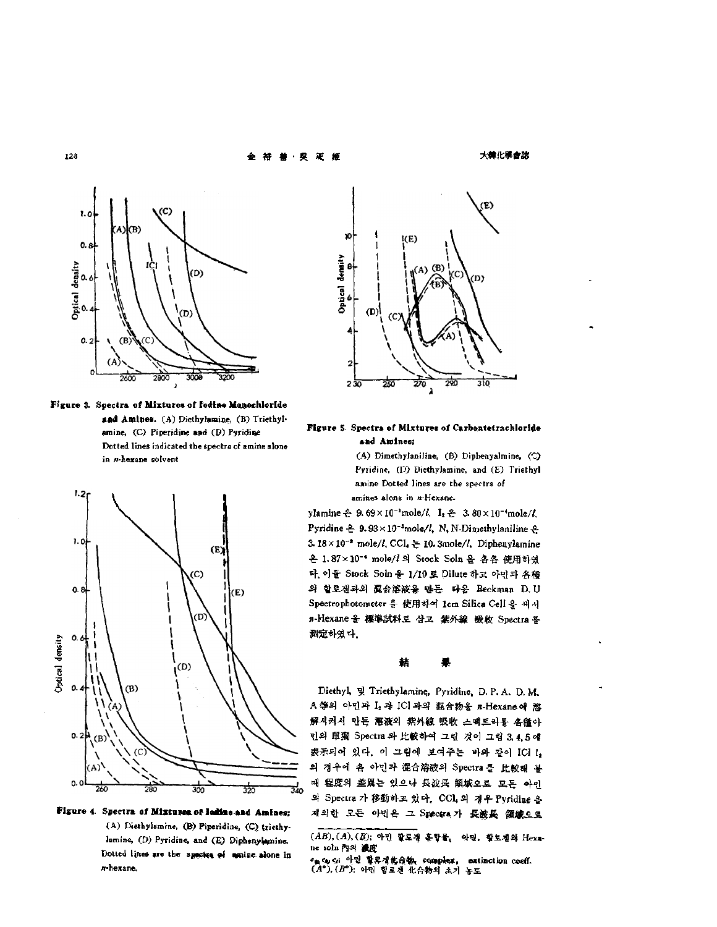

**Figure** . **Spectra of Mixtures of Iodfn« Monochlorfde and** Amines. (A) Diethyhmiue, (B) Triethylamine, (C) Piperidine and (D) Pyridine Dotted lines indicated the spectra of amine alone in *n*-hexane solvent



**Figure 4. Spectra of Mixtures of lotHae and Amines;** (A) Diethylamine, (B) Piperidine, (C) triethylamine, (D) Pyridine, and (E) Diphenylamine. Dotted lines are the spectra of amine alone in w-hexane.



### **Figure 5. and Amines;**

(A) Dimethylaniline, (B) Diphenyalmine, (C) Pyridine, (D) Diethylamine, and (E) Triethyl amine Dotted lines are the spectra of amines alone in n-Hexane.

ylamine  $-2.69 \times 10^{-1}$ mole/l,  $I_2 - 3.80 \times 10^{-4}$ mole/l, Pyridine  $\triangle$  9. 93 × 10<sup>-3</sup>mole/l, N, N-Dimethylaniline  $\triangle$ 3.18 $\times$ 10<sup>-2</sup> mole/l, CCL  $\geq$  10. 3mole/l, Diphenylamine 은 1.87×10<sup>-•</sup> mole/l 의 Stock Soln 을 名各 使用하였 다. 이들 Stock Soln 을 1/10 로 Dilute 하고 아민과 各種 할로겐과의 混合溶液읗 만든 다음 Beckman D. U Spectrophotometer 를 使用하여 1cm Silica Cell 을 써서 n-Hexane 을 標準試料로 삼고 紫外線 吸收 Spectra 를 測定하였다.

#### 葀 杲

Diethyl, 및 Triethylamine, Pyridine, D. P. A. D. M. A 等의 아민과 I, 과 ICI 과의 混合物을 n-Hexane 에 溶 解시켜서 만든 溶液의 紫外線 吸收 스펙트라를 各種아 민의 單獨 Spectra 와 比較하여 그린 것이 그림 3,4,5 얘 表示되어 있다. 이 그림에 보여주는 바와 같이 ICI !, 의 경우에 좀 아민과 混合溶液의 Spectra 를 比較해 볼 때 程度의 差異는 있으나 長波長 領域오로 모든 아인 의 Spectra 가 移動하고 있다. CCl4의 경우 Pyridine 을 제외한 모든 아민은 그 Spectra 가 長渡長 領域으로

*(AB), (A\ (B)* 아민 할로젠 홈함뭏<sup>1</sup> 악민, 할로겐와 Hexane soln 內의 浚度

ency ci 아민 할로젝化合物, complex, extinction coeff. (A°), (B°), 아민 할로겐 化合物의 초기 농도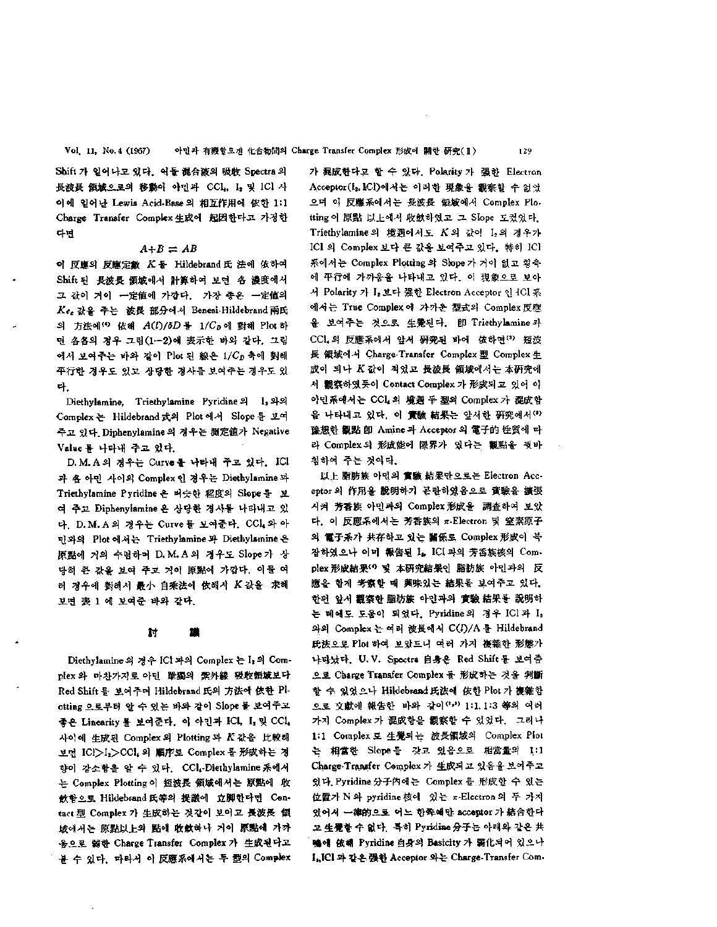Shift 가 일어나고 있다. 이들 混合液의 吸收 Spectra 의 長波長 領域으로의 移動이 아민과 CCl,, I, 및 ICl 사 여에 일어난 Lewis Acid-Base의 相互作用에 依한 1:1 Charge Transfer Complex 生成에 起因한다고 가정 다면

### $A+B = AB$

이 反應의 反應定數 K 를 Hildebrand 氏 法에 依하여 Shift 된 長波長 領域에서 計算하여 보면 各 濃度에서 값이 거이 一定値에 가깝다. 가장 종은 一定値의 Kee 값을 주는 波長 部分에서 Benesi-Hildebrand 兩氏 의 方法에 <sup>(4</sup>) 依혜  $A(l)/\delta D = 1/C_D$ 에 對해 Plot 하 면 各各의 경우 그림(1-2)에 表示한 바와 같다. 그림 예서 보여주는 바와 같이 Plot 된 線은 1/Cp 축에 對해 平行한 경우도 있고 상당한 경사를 보여주는 경우도 다.

Diethylamine, Triethylamine Pyridine의 I<sub>2</sub> 와의 Complex 는 Hildebrand 式의 Plot 에서 Slope 를 보여 주고 있다. Diphenylamine 경우는 測定値가 Negative Value 를 나타내 주고 있다.

D.M.A의 경우는 Curve를 나타내 주고 있다. ICI 과 욤 아민 사이의 Complex 인 경우는 Diethylamine 과 Triethylamine Pyridine 은 버슷한 程度의 Slope 를 보 여 주고 Diphenylamine 은 상당한 경사를 나타내고 있 다. D.M.A의 경우는 Curve 를 보여준다. CCL 와 아 민과의 Plot 에서는 Triethylamine 과 Diethylamine 은 原點에 거의 수렴하며 D.M.A 외 경우도 Slope가 상 당히 큰 값을 보여 주고 거이 原點에 가깝다. 이들 여 러 경우에 對해서 最小 自乘法에 依해서 K 값을 求해 보면 表 1 에 보여준 바와 같다.

#### 討 鑵

Diethylamine의 경우 ICI 과의 Complex 는 I, 의 Complex 와 마찬가지로 아민 單獨의 紫外線 吸收領域보다 Red Shift 를 보여주며 Hildebrand 氏의 方法에 依한 Plotting 으로부터 있는 바와 같이 Slope 보여주고 좋은 Linearity 를 보여준다. 이 아민과 ICL I, 및 CCl. 사이 生成된 Complex Plotting *K* 값을 比較해 보면 ICl>I2>CCL 의 順序로 Complex 를 形成하는 경 향이 감소함을 있다. CCL-Diethyl&mine 系에서 는 Complex Plotting 이 短波長 領域에서는 原點에 收 飲함으로 Hildebrand 氏等의 提議에 立脚한다면 Centact 型 Complex 가 生成하는 것같이 보이고 長波長 顧 域에서는 原點以上의 點에 收斂하나 거이 原點에 가까 움으로 弱한 Charge Transfer Complex 生成된 다고 불 수 있다. 따라서 이 反應系에서는 두 型의 Complex 가 混成한다고 할 수 있다. Polarity 가 强한 Electron Acceptor(I<sub>2</sub>, ICI)에서는 이러한 現象을 觀察할 수 없었 으며 反應系에서는 長波長 領域에서 Complex Piotting 이 原點 以上에서 收歛하였고 그 Slope 도컸었다. Triethylamine 의 境遇에서도 K 의 값이 I2의 경우가 ICI 의 Complex 보다 큰 값을 보여주고 있다. 特히 ICl 系에서는 Complex Plotting 의 Skope 가 거이 없고 횡축 平行에 가까움을 나타내고 있다. 現象으로 보아 서 Polarity 가 I, 보다 强한 Electron Acceptor 인 4Cl 系 에서는 True Complex 가까운 型式의 Complex反應 울 보여주는 것으로 生覺된다. 卽 Triethylamine과 CCL 의 反應系에서 앞서 硏究된 바에 依하면 (5) 短波 長 領域에서 Charge-Transfer Complex 型 Complex 生 成이 되나 K값이 적었고 長波長 領域에서는 本硏究에 서 觀察하였듯이 Contact Complex 가 形成되고 있어 야 아민系에서는 CCL의 境遇 두 型의 Complex 가 混成함 을 나타내고 있다. 이 實驗 結果는 암셔한 硏究에서(\*) 豫想한 觀點 卽 Amine 과 Acceptor 의 電子的 性質에 따 라 Complex 의 形成能에 限界가 있다는 觀點을 둿바 침하여 주는 것이다.

以上 脂肪族 아민의 實驗 結果만으로는 Electron Acceptor 作用을 說明하기 곤란하였음으로 實驗을 擴張 시켜 芳香族 아민과의 Complex 形成을 調査하여 보았 다. 이 反應系에서는 芳香族의 π-Electron 및 窒素原子 의 電子系가 共存하고 있는 關係로 Complex 形成이 복 잡하였으나 이미 報告된 L, ICI 과의 芳香族核의 Complex 形成結果(\*) 및 本研究結果인 脂肪族 아민과의 反 應을 함계 考察할 때 興味있는 結果를 보여주고 있다. 한편 앞서 觀察한 脂肪族 아민과의 實驗 結果를 說明하 는 베에도 도움이 되었다. Pyridine의 경우 ICl과 I2 와의 Complex 는 여러 波長에서 C(I)/A 를 Hildebrand 氏法으로 Plot 하여 보았드니 야러 가지 複雜한 形態가 나타났다. U.V. Spectra 自身은 Red Shift 를 보여줌 으로 Charge Transfer Complex 形成하는 것을 判斷 할 수 있었으나 Hildebrand 氏法에 依한 Plot 가 複雜함 으로 文獻에 報告한 바와 같이<sup>(1,3)</sup> 1:1,1:3 等의 여러 가지 Complex 가 混成함을 觀察할 수 있었다. 그러나 1:1 Complex 豆 生覺되는 波長領域의 Complex Plot 는 相當한 Slope 를 갖고 있음으로 相當量의 1:1 Charge-Transfer Complex 가 生成되고 있음을 보여주고 있다. Pyridine 分子內에는 Complex 를 形成할 수 있는 位置가 N 와 pyridine 核에 있는 π-Electron 의 두 가지 있어서 一律的으로 어느 한축예만 acceptor 가 結合한다 고 生覺할 수 없다. 특히 Pyridine分子는 아래와 같은 共 鴨에 依해 Pyridine 自身의 Basicity 가 弱化되어 있으나 I2JC1 같은 强한 Acceptor 와는 Charge-Transfer Com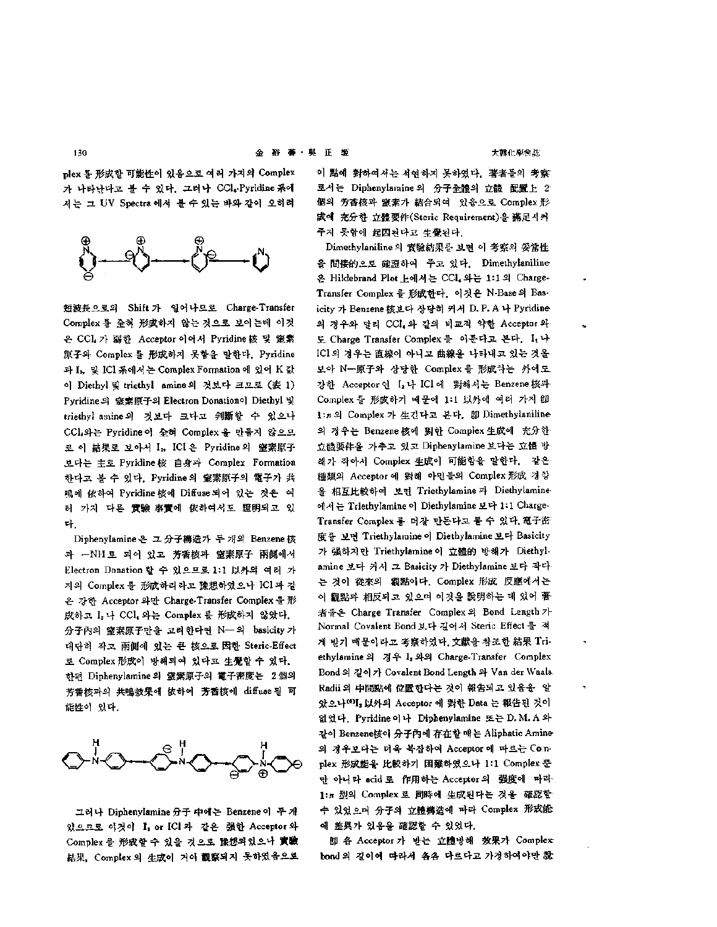plex 를 形成할 可能性이 있음으로 여러 가지의 Complex 가 나타난다고 불 수 있다. 그러나 CCl, Pyridine 系에 서는 그 UV Spectra 에서 볼 수 있는 바와 같이 오히려



短波長으로의 Shift 일어 나므로 Charge-Transfer Complex 를 全혀 形成하지 않는 것으로 보이는데 이것 은 CCL 가 弱한 Acceptor 이어서 Pyridine 核 및 窒素 原子와 Complex 를 形成하지 못함을 말한다. Pyridine 과 I<sub>s</sub>, 및 ICl 系에서는 Complex Formation 에 있어 K 값 이 Diethyl 및 triethyl amine의 것보다 크므로 (表 1) Pyridine 의 窒素原子의 Electron Donation이 Diethyl 및 triethyl amine의 것보다 크다고 判斷할 수 있으나 CCL와는 Pyridine 이 全혀 Complex 을 만들지 않으므 로 이 結果로 보아서 I, ICI은 Pyridine의 窒素原子 보다는 主로 Pyridine 身과 Complex Formation 한다고 볼 수 있다. Pyridine의 窒素原子의 電子가 共 鳴에 依하여 Pyridine 核에 Diffuse 되어 있는 것은 여 터 가지 다른 實驗 事實에 依하여서도 證明되고 있 다.

Diphenylamine 은 그 分子構造가 두 개의 Benzene 核 과 -NH로 되어 있고 芳香核과 窒素原子 兩側에서 Electron Donation 할 수 있으므로 1:1 以外의 여러 가 지의 Complex 를 形成하리라고 豫想하였으나 ICl 과 같 은 강한 Acceptor 와만 Charge-Transfer Complex 를 形 成하고 I, 나 CCl, 와는 Complex 를 形成하지 않았다. 分子內의 窒素原子만을 고려한다면 N— 의 basicity 가 대단히 작고 兩側에 있는 核으로 因한 Steric-Effect 로 Complex 形成이 방해되여 있다고 生覺할 수 있다. 한편 Diphenylamine 의 窒素原子의 電子密度는 2個의 芳香核과의 共鳴效果에 依하여 芳香核에 diffuse 될 可 能性이 있다.



그러나 Diphenylamine 分子 中에는 Benzene 이 두 개 있으므로 이것이 I, or ICI 과 같은 强한 Acceptor 와 Complex 를 形成할 수 있을 것으로 豫想되었으나 實驗 結果, Complex 의 生成이 거어 觀察되지 못하였음으로

이 點에 對하여서는 석연하지 못하였다. 著者들의 考察: 로서는 Diphenylamine의 分子全體의 立體 配置上 2 個의 芳香核과 窒素가 結合되여 있음으로 Complex 形 成에 充分한 立體要件(Steric Requirement)을 滿足시켜 주지 못함에 起因된다고 生覺된다.

Dimethylaniline 의 實驗結果를 보면 이 考察의 妥當性 間接的으로 確證하여 *주고* 있다. Dimethylanilin 온 Hildebrand Plot 上에서는 CCl, 와는 1:1의 Charge-Transfer Complex 를 形成한다. 이것은 N-Base 의 Basicity 가 Benzene 核보다 상당히 커서 D. P. A 나 Pyridine-의 경우와 달리 CCL 와 같의 비교적 약한 Acceptor 와 도 Charge Transfer Complex 를 이룬다고 본다. L+ ICI의 경우는 直線이 아니고 曲線을 나타내고 있는 것을 보아 N—原子와 상당한 Complex 를 形成하는 外에도 강한 Acceptor 인 I, 나 ICl 에 對해서는 Benzene 核과 Complex 를 形成하기 때문에 1:1 以外에 여러 가지 卽 1:n의 Complex 가 生긴다고 본다. 卽 Dimethylaniline 의 경우는 Benzene 核에 對한 Complex 生成에 充分한 立體要件을 가추고 있고 Diphenylamine 보다는 立體 해가 작아서 Complex 生成이 可能함을 말한다. 같은 種類의 Acceptor 에 對해 아민들의 Complex 形成 경향 을 相互比較하여 보면 Triethylamine 과 Diethylamine 에서는 Triethylamine 이 Diethylamine 보다 1:1 Charge-Transfer Complex 를 더잘 만든다고 불 수 있다. 電子密 度를 보면 Triethylamine Diethylamine 보다 Basicity 가 强하지만 Triethylamine 이 立體的 방해가 Diethylamine 보다 커서 그 Basicity 가 Diethylamine 보다 작다 것이 從來의 觀點이다. Complex 形成 反應에서는 이 觀點과 相反되고 있으며 이것을 說明하는 데 있어 著 者들은 Charge Transfer Complex 의 Bond Length 가 Normal Covalent Bond 보다 길어서 Steric Effect를 적 게 받기 때문이라고 考察하였다. 文獻을 참조한 結果 Triethylamine 의 경우 I<sub>2</sub> 와의 Charge-Transfer Complex Bond 길이 Covalent Bond Length Van der Waals Radii 의 中間點에 位置한다는 것이 報告되고 있음을 알 았으나(OI, 以外의 Acceptor 에 對한 Data 는 報告된 것이 없었다. Pyridine 이나 Diphenylamine 또는 D. M. A 와 같이 Benzene核이 分子內에 存在할 Aliphatic Amine 의 경우보다는 더욱 복잡하여 Acceptor 에 따르는 Co.nplex 形成能을 比較하기 困難하였으나 1:1 Complex 뿐 만 아니라 acid로 作用하는 Acceptor의 强度에 따라 1:n 型의 Complex 로 同時에 生成된다는 것을 確認할 있었으며 分子의 立體構造에 따라 Complex 形成能 예 差異가 있음을 確認할 수 있었다.

卽 各 Acceptor 가 받는 立體방해 效果가 Complex bond 의 길이에 따라서 各各 다르다고 가정하여야만 說